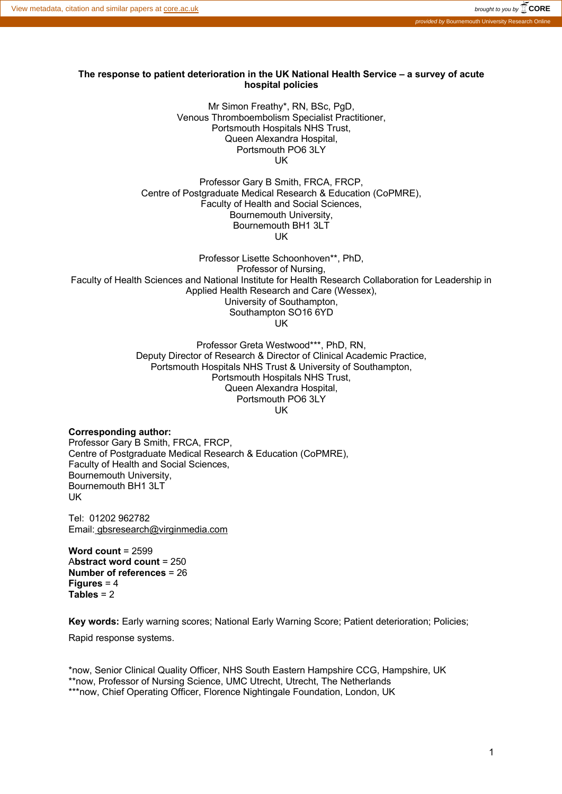#### **The response to patient deterioration in the UK National Health Service – a survey of acute hospital policies**

Mr Simon Freathy\*, RN, BSc, PgD, Venous Thromboembolism Specialist Practitioner, Portsmouth Hospitals NHS Trust, Queen Alexandra Hospital, Portsmouth PO6 3LY UK

Professor Gary B Smith, FRCA, FRCP, Centre of Postgraduate Medical Research & Education (CoPMRE), Faculty of Health and Social Sciences, Bournemouth University, Bournemouth BH1 3LT UK

Professor Lisette Schoonhoven\*\*, PhD, Professor of Nursing, Faculty of Health Sciences and National Institute for Health Research Collaboration for Leadership in Applied Health Research and Care (Wessex), University of Southampton, Southampton SO16 6YD UK

> Professor Greta Westwood\*\*\*, PhD, RN, Deputy Director of Research & Director of Clinical Academic Practice, Portsmouth Hospitals NHS Trust & University of Southampton, Portsmouth Hospitals NHS Trust, Queen Alexandra Hospital, Portsmouth PO6 3LY UK

**Corresponding author:** Professor Gary B Smith, FRCA, FRCP, Centre of Postgraduate Medical Research & Education (CoPMRE), Faculty of Health and Social Sciences, Bournemouth University, Bournemouth BH1 3LT UK

Tel: 01202 962782 Email: gbsresearch@virginmedia.com

**Word count** = 2599 A**bstract word count** = 250 **Number of references** = 26 **Figures** = 4 **Tables** = 2

**Key words:** Early warning scores; National Early Warning Score; Patient deterioration; Policies; Rapid response systems.

\*now, Senior Clinical Quality Officer, NHS South Eastern Hampshire CCG, Hampshire, UK \*\*now, Professor of Nursing Science, UMC Utrecht, Utrecht, The Netherlands \*\*\*now, Chief Operating Officer, Florence Nightingale Foundation, London, UK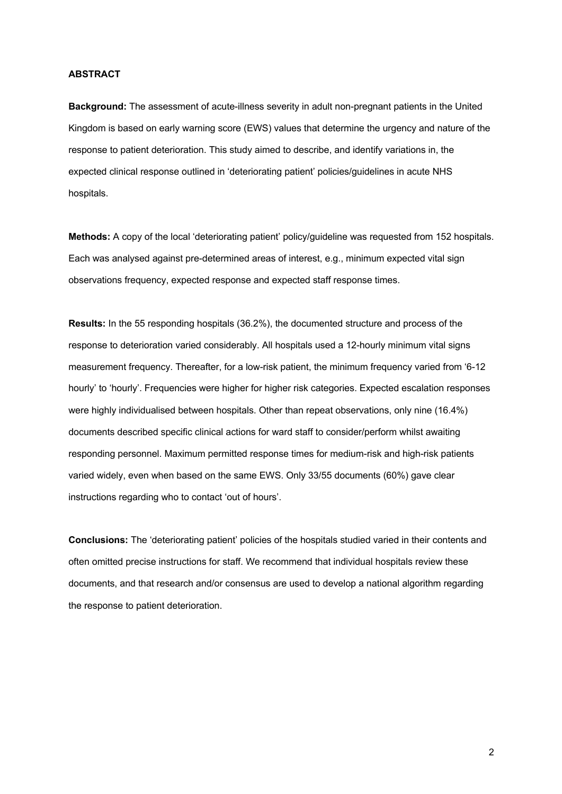#### **ABSTRACT**

**Background:** The assessment of acute-illness severity in adult non-pregnant patients in the United Kingdom is based on early warning score (EWS) values that determine the urgency and nature of the response to patient deterioration. This study aimed to describe, and identify variations in, the expected clinical response outlined in 'deteriorating patient' policies/guidelines in acute NHS hospitals.

**Methods:** A copy of the local 'deteriorating patient' policy/guideline was requested from 152 hospitals. Each was analysed against pre-determined areas of interest, e.g., minimum expected vital sign observations frequency, expected response and expected staff response times.

**Results:** In the 55 responding hospitals (36.2%), the documented structure and process of the response to deterioration varied considerably. All hospitals used a 12-hourly minimum vital signs measurement frequency. Thereafter, for a low-risk patient, the minimum frequency varied from '6-12 hourly' to 'hourly'. Frequencies were higher for higher risk categories. Expected escalation responses were highly individualised between hospitals. Other than repeat observations, only nine (16.4%) documents described specific clinical actions for ward staff to consider/perform whilst awaiting responding personnel. Maximum permitted response times for medium-risk and high-risk patients varied widely, even when based on the same EWS. Only 33/55 documents (60%) gave clear instructions regarding who to contact 'out of hours'.

**Conclusions:** The 'deteriorating patient' policies of the hospitals studied varied in their contents and often omitted precise instructions for staff. We recommend that individual hospitals review these documents, and that research and/or consensus are used to develop a national algorithm regarding the response to patient deterioration.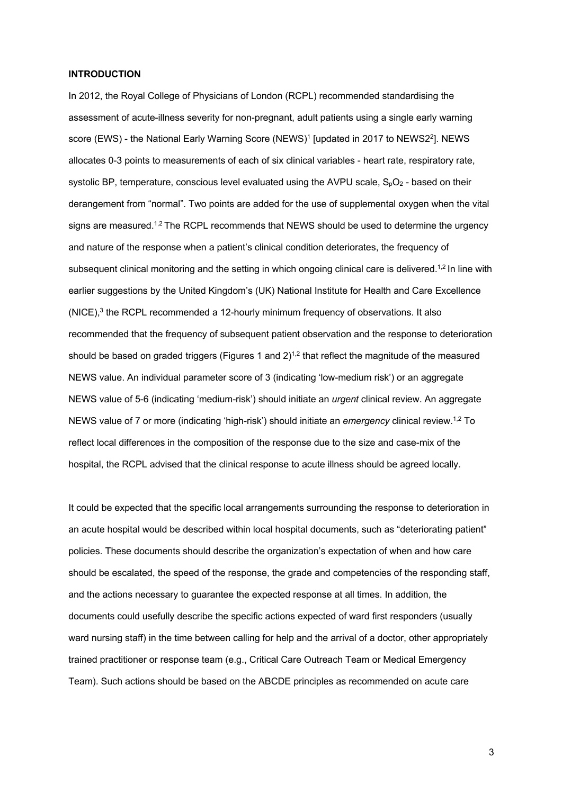#### **INTRODUCTION**

In 2012, the Royal College of Physicians of London (RCPL) recommended standardising the assessment of acute-illness severity for non-pregnant, adult patients using a single early warning score (EWS) - the National Early Warning Score (NEWS)<sup>1</sup> [updated in 2017 to NEWS2<sup>2</sup>]. NEWS allocates 0-3 points to measurements of each of six clinical variables - heart rate, respiratory rate, systolic BP, temperature, conscious level evaluated using the AVPU scale,  $S_pO_2$  - based on their derangement from "normal". Two points are added for the use of supplemental oxygen when the vital signs are measured.<sup>1,2</sup> The RCPL recommends that NEWS should be used to determine the urgency and nature of the response when a patient's clinical condition deteriorates, the frequency of subsequent clinical monitoring and the setting in which ongoing clinical care is delivered.<sup>1,2</sup> In line with earlier suggestions by the United Kingdom's (UK) National Institute for Health and Care Excellence (NICE), <sup>3</sup> the RCPL recommended a 12-hourly minimum frequency of observations. It also recommended that the frequency of subsequent patient observation and the response to deterioration should be based on graded triggers (Figures 1 and  $2$ )<sup>1,2</sup> that reflect the magnitude of the measured NEWS value. An individual parameter score of 3 (indicating 'low-medium risk') or an aggregate NEWS value of 5-6 (indicating 'medium-risk') should initiate an *urgent* clinical review. An aggregate NEWS value of 7 or more (indicating 'high-risk') should initiate an *emergency* clinical review. 1,2 To reflect local differences in the composition of the response due to the size and case-mix of the hospital, the RCPL advised that the clinical response to acute illness should be agreed locally.

It could be expected that the specific local arrangements surrounding the response to deterioration in an acute hospital would be described within local hospital documents, such as "deteriorating patient" policies. These documents should describe the organization's expectation of when and how care should be escalated, the speed of the response, the grade and competencies of the responding staff, and the actions necessary to guarantee the expected response at all times. In addition, the documents could usefully describe the specific actions expected of ward first responders (usually ward nursing staff) in the time between calling for help and the arrival of a doctor, other appropriately trained practitioner or response team (e.g., Critical Care Outreach Team or Medical Emergency Team). Such actions should be based on the ABCDE principles as recommended on acute care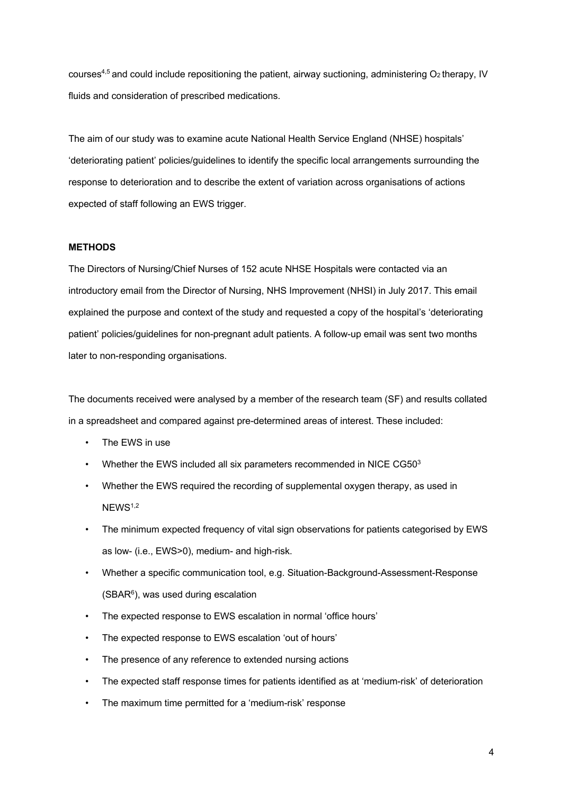courses<sup>4,5</sup> and could include repositioning the patient, airway suctioning, administering  $O_2$  therapy, IV fluids and consideration of prescribed medications.

The aim of our study was to examine acute National Health Service England (NHSE) hospitals' 'deteriorating patient' policies/guidelines to identify the specific local arrangements surrounding the response to deterioration and to describe the extent of variation across organisations of actions expected of staff following an EWS trigger.

#### **METHODS**

The Directors of Nursing/Chief Nurses of 152 acute NHSE Hospitals were contacted via an introductory email from the Director of Nursing, NHS Improvement (NHSI) in July 2017. This email explained the purpose and context of the study and requested a copy of the hospital's 'deteriorating patient' policies/guidelines for non-pregnant adult patients. A follow-up email was sent two months later to non-responding organisations.

The documents received were analysed by a member of the research team (SF) and results collated in a spreadsheet and compared against pre-determined areas of interest. These included:

- The EWS in use
- Whether the EWS included all six parameters recommended in NICE CG503
- Whether the EWS required the recording of supplemental oxygen therapy, as used in NEWS<sup>1,2</sup>
- The minimum expected frequency of vital sign observations for patients categorised by EWS as low- (i.e., EWS>0), medium- and high-risk.
- Whether a specific communication tool, e.g. Situation-Background-Assessment-Response  $(SBAR<sup>6</sup>)$ , was used during escalation
- The expected response to EWS escalation in normal 'office hours'
- The expected response to EWS escalation 'out of hours'
- The presence of any reference to extended nursing actions
- The expected staff response times for patients identified as at 'medium-risk' of deterioration
- The maximum time permitted for a 'medium-risk' response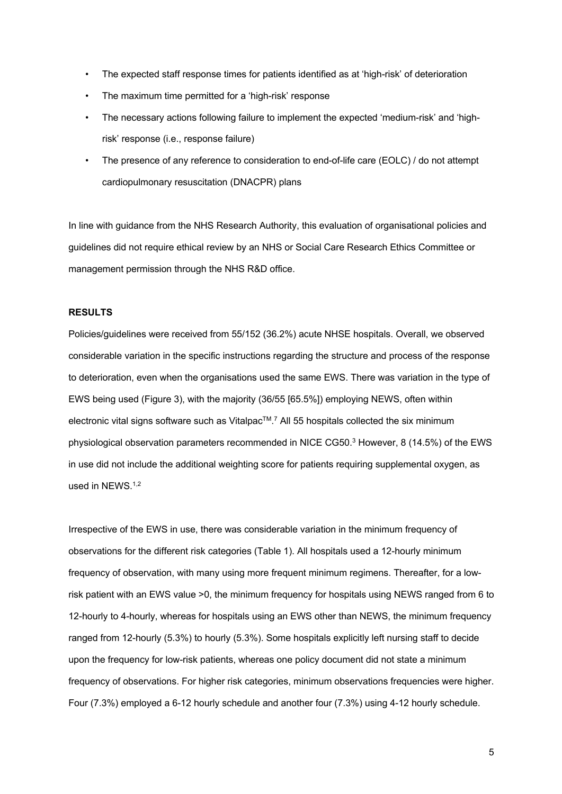- The expected staff response times for patients identified as at 'high-risk' of deterioration
- The maximum time permitted for a 'high-risk' response
- The necessary actions following failure to implement the expected 'medium-risk' and 'highrisk' response (i.e., response failure)
- The presence of any reference to consideration to end-of-life care (EOLC) / do not attempt cardiopulmonary resuscitation (DNACPR) plans

In line with guidance from the NHS Research Authority, this evaluation of organisational policies and guidelines did not require ethical review by an NHS or Social Care Research Ethics Committee or management permission through the NHS R&D office.

#### **RESULTS**

Policies/guidelines were received from 55/152 (36.2%) acute NHSE hospitals. Overall, we observed considerable variation in the specific instructions regarding the structure and process of the response to deterioration, even when the organisations used the same EWS. There was variation in the type of EWS being used (Figure 3), with the majority (36/55 [65.5%]) employing NEWS, often within electronic vital signs software such as Vitalpac<sup>TM</sup>.<sup>7</sup> All 55 hospitals collected the six minimum physiological observation parameters recommended in NICE CG50. <sup>3</sup> However, 8 (14.5%) of the EWS in use did not include the additional weighting score for patients requiring supplemental oxygen, as used in NEWS.<sup>1,2</sup>

Irrespective of the EWS in use, there was considerable variation in the minimum frequency of observations for the different risk categories (Table 1). All hospitals used a 12-hourly minimum frequency of observation, with many using more frequent minimum regimens. Thereafter, for a lowrisk patient with an EWS value >0, the minimum frequency for hospitals using NEWS ranged from 6 to 12-hourly to 4-hourly, whereas for hospitals using an EWS other than NEWS, the minimum frequency ranged from 12-hourly (5.3%) to hourly (5.3%). Some hospitals explicitly left nursing staff to decide upon the frequency for low-risk patients, whereas one policy document did not state a minimum frequency of observations. For higher risk categories, minimum observations frequencies were higher. Four (7.3%) employed a 6-12 hourly schedule and another four (7.3%) using 4-12 hourly schedule.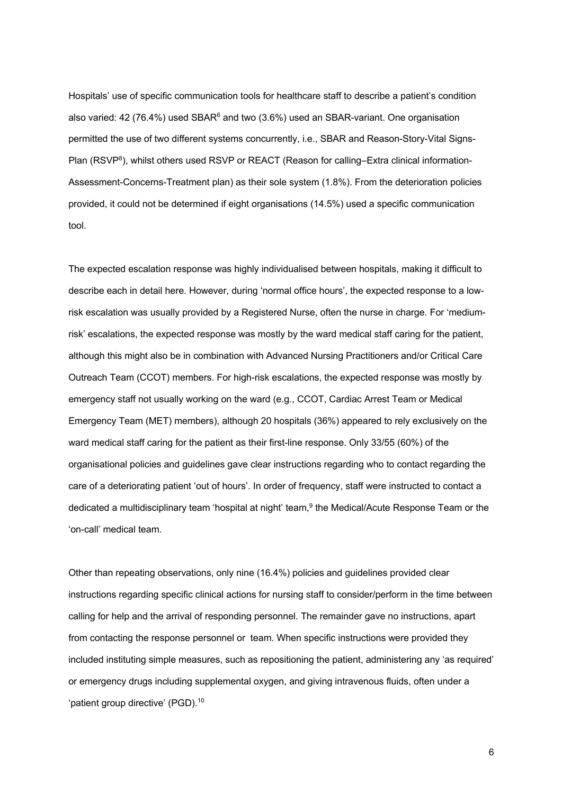Hospitals' use of specific communication tools for healthcare staff to describe a patient's condition also varied: 42 (76.4%) used SBAR $<sup>6</sup>$  and two (3.6%) used an SBAR-variant. One organisation</sup> permitted the use of two different systems concurrently, i.e., SBAR and Reason-Story-Vital Signs-Plan (RSVP<sup>8</sup>), whilst others used RSVP or REACT (Reason for calling–Extra clinical information-Assessment-Concerns-Treatment plan) as their sole system (1.8%). From the deterioration policies provided, it could not be determined if eight organisations (14.5%) used a specific communication tool.

The expected escalation response was highly individualised between hospitals, making it difficult to describe each in detail here. However, during 'normal office hours', the expected response to a lowrisk escalation was usually provided by a Registered Nurse, often the nurse in charge. For 'mediumrisk' escalations, the expected response was mostly by the ward medical staff caring for the patient, although this might also be in combination with Advanced Nursing Practitioners and/or Critical Care Outreach Team (CCOT) members. For high-risk escalations, the expected response was mostly by emergency staff not usually working on the ward (e.g., CCOT, Cardiac Arrest Team or Medical Emergency Team (MET) members), although 20 hospitals (36%) appeared to rely exclusively on the ward medical staff caring for the patient as their first-line response. Only 33/55 (60%) of the organisational policies and guidelines gave clear instructions regarding who to contact regarding the care of a deteriorating patient 'out of hours'. In order of frequency, staff were instructed to contact a dedicated a multidisciplinary team 'hospital at night' team, <sup>9</sup> the Medical/Acute Response Team or the 'on-call' medical team.

Other than repeating observations, only nine (16.4%) policies and guidelines provided clear instructions regarding specific clinical actions for nursing staff to consider/perform in the time between calling for help and the arrival of responding personnel. The remainder gave no instructions, apart from contacting the response personnel or team. When specific instructions were provided they included instituting simple measures, such as repositioning the patient, administering any 'as required' or emergency drugs including supplemental oxygen, and giving intravenous fluids, often under a 'patient group directive' (PGD).<sup>10</sup>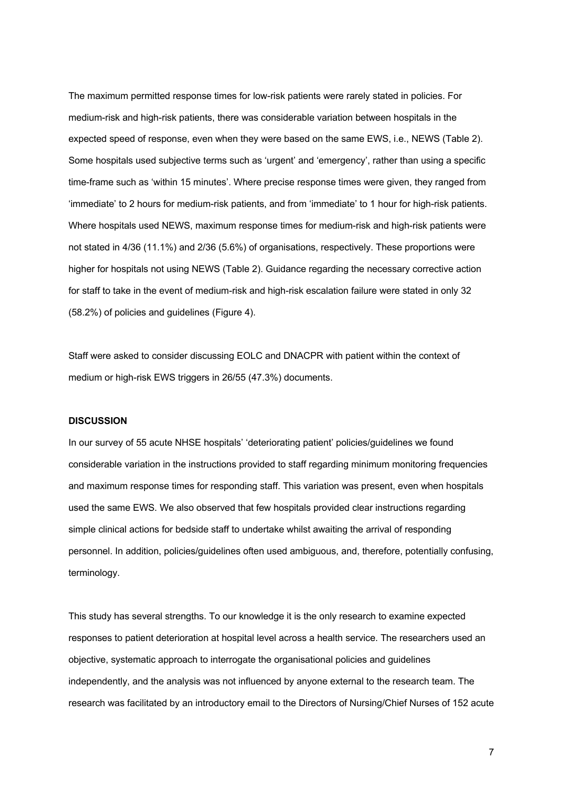The maximum permitted response times for low-risk patients were rarely stated in policies. For medium-risk and high-risk patients, there was considerable variation between hospitals in the expected speed of response, even when they were based on the same EWS, i.e., NEWS (Table 2). Some hospitals used subjective terms such as 'urgent' and 'emergency', rather than using a specific time-frame such as 'within 15 minutes'. Where precise response times were given, they ranged from 'immediate' to 2 hours for medium-risk patients, and from 'immediate' to 1 hour for high-risk patients. Where hospitals used NEWS, maximum response times for medium-risk and high-risk patients were not stated in 4/36 (11.1%) and 2/36 (5.6%) of organisations, respectively. These proportions were higher for hospitals not using NEWS (Table 2). Guidance regarding the necessary corrective action for staff to take in the event of medium-risk and high-risk escalation failure were stated in only 32 (58.2%) of policies and guidelines (Figure 4).

Staff were asked to consider discussing EOLC and DNACPR with patient within the context of medium or high-risk EWS triggers in 26/55 (47.3%) documents.

#### **DISCUSSION**

In our survey of 55 acute NHSE hospitals' 'deteriorating patient' policies/guidelines we found considerable variation in the instructions provided to staff regarding minimum monitoring frequencies and maximum response times for responding staff. This variation was present, even when hospitals used the same EWS. We also observed that few hospitals provided clear instructions regarding simple clinical actions for bedside staff to undertake whilst awaiting the arrival of responding personnel. In addition, policies/guidelines often used ambiguous, and, therefore, potentially confusing, terminology.

This study has several strengths. To our knowledge it is the only research to examine expected responses to patient deterioration at hospital level across a health service. The researchers used an objective, systematic approach to interrogate the organisational policies and guidelines independently, and the analysis was not influenced by anyone external to the research team. The research was facilitated by an introductory email to the Directors of Nursing/Chief Nurses of 152 acute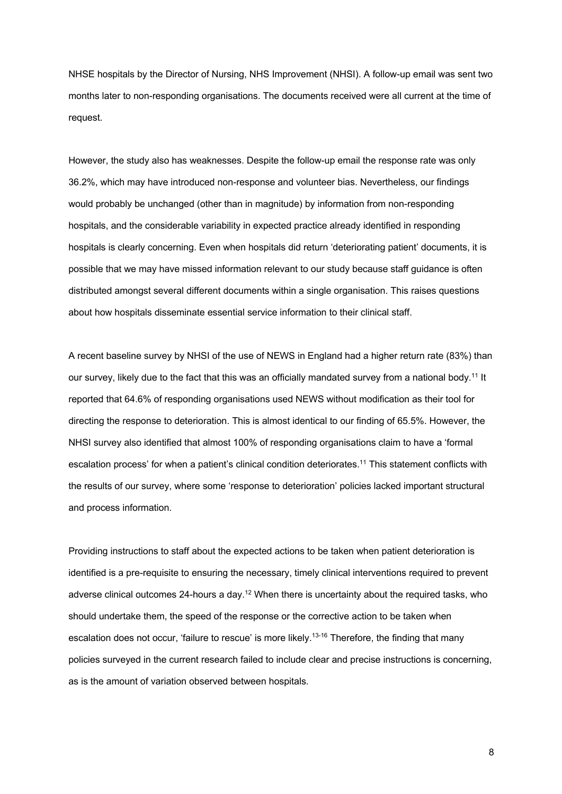NHSE hospitals by the Director of Nursing, NHS Improvement (NHSI). A follow-up email was sent two months later to non-responding organisations. The documents received were all current at the time of request.

However, the study also has weaknesses. Despite the follow-up email the response rate was only 36.2%, which may have introduced non-response and volunteer bias. Nevertheless, our findings would probably be unchanged (other than in magnitude) by information from non-responding hospitals, and the considerable variability in expected practice already identified in responding hospitals is clearly concerning. Even when hospitals did return 'deteriorating patient' documents, it is possible that we may have missed information relevant to our study because staff guidance is often distributed amongst several different documents within a single organisation. This raises questions about how hospitals disseminate essential service information to their clinical staff.

A recent baseline survey by NHSI of the use of NEWS in England had a higher return rate (83%) than our survey, likely due to the fact that this was an officially mandated survey from a national body.<sup>11</sup> It reported that 64.6% of responding organisations used NEWS without modification as their tool for directing the response to deterioration. This is almost identical to our finding of 65.5%. However, the NHSI survey also identified that almost 100% of responding organisations claim to have a 'formal escalation process' for when a patient's clinical condition deteriorates.<sup>11</sup> This statement conflicts with the results of our survey, where some 'response to deterioration' policies lacked important structural and process information.

Providing instructions to staff about the expected actions to be taken when patient deterioration is identified is a pre-requisite to ensuring the necessary, timely clinical interventions required to prevent adverse clinical outcomes 24-hours a day.<sup>12</sup> When there is uncertainty about the required tasks, who should undertake them, the speed of the response or the corrective action to be taken when escalation does not occur, 'failure to rescue' is more likely.<sup>13-16</sup> Therefore, the finding that many policies surveyed in the current research failed to include clear and precise instructions is concerning, as is the amount of variation observed between hospitals.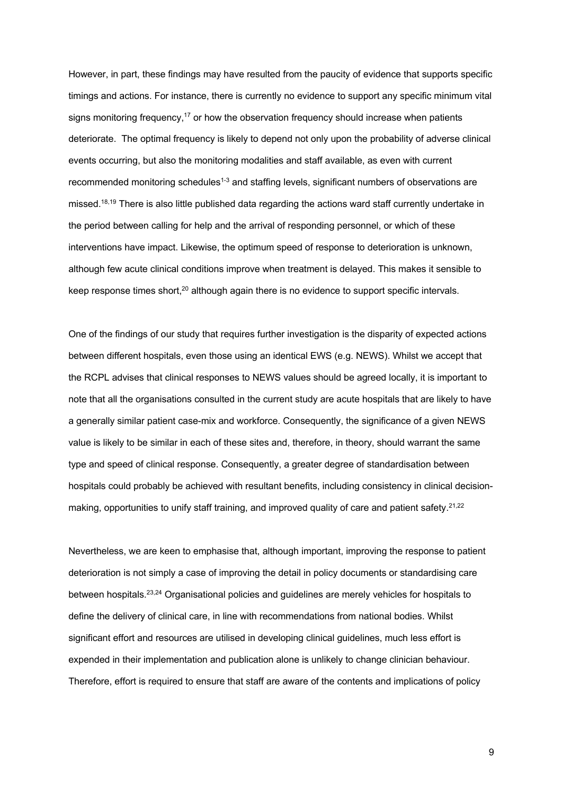However, in part, these findings may have resulted from the paucity of evidence that supports specific timings and actions. For instance, there is currently no evidence to support any specific minimum vital signs monitoring frequency,<sup>17</sup> or how the observation frequency should increase when patients deteriorate. The optimal frequency is likely to depend not only upon the probability of adverse clinical events occurring, but also the monitoring modalities and staff available, as even with current recommended monitoring schedules<sup>1-3</sup> and staffing levels, significant numbers of observations are missed.<sup>18,19</sup> There is also little published data regarding the actions ward staff currently undertake in the period between calling for help and the arrival of responding personnel, or which of these interventions have impact. Likewise, the optimum speed of response to deterioration is unknown, although few acute clinical conditions improve when treatment is delayed. This makes it sensible to keep response times short, $20$  although again there is no evidence to support specific intervals.

One of the findings of our study that requires further investigation is the disparity of expected actions between different hospitals, even those using an identical EWS (e.g. NEWS). Whilst we accept that the RCPL advises that clinical responses to NEWS values should be agreed locally, it is important to note that all the organisations consulted in the current study are acute hospitals that are likely to have a generally similar patient case-mix and workforce. Consequently, the significance of a given NEWS value is likely to be similar in each of these sites and, therefore, in theory, should warrant the same type and speed of clinical response. Consequently, a greater degree of standardisation between hospitals could probably be achieved with resultant benefits, including consistency in clinical decisionmaking, opportunities to unify staff training, and improved quality of care and patient safety.<sup>21,22</sup>

Nevertheless, we are keen to emphasise that, although important, improving the response to patient deterioration is not simply a case of improving the detail in policy documents or standardising care between hospitals.23,24 Organisational policies and guidelines are merely vehicles for hospitals to define the delivery of clinical care, in line with recommendations from national bodies. Whilst significant effort and resources are utilised in developing clinical guidelines, much less effort is expended in their implementation and publication alone is unlikely to change clinician behaviour. Therefore, effort is required to ensure that staff are aware of the contents and implications of policy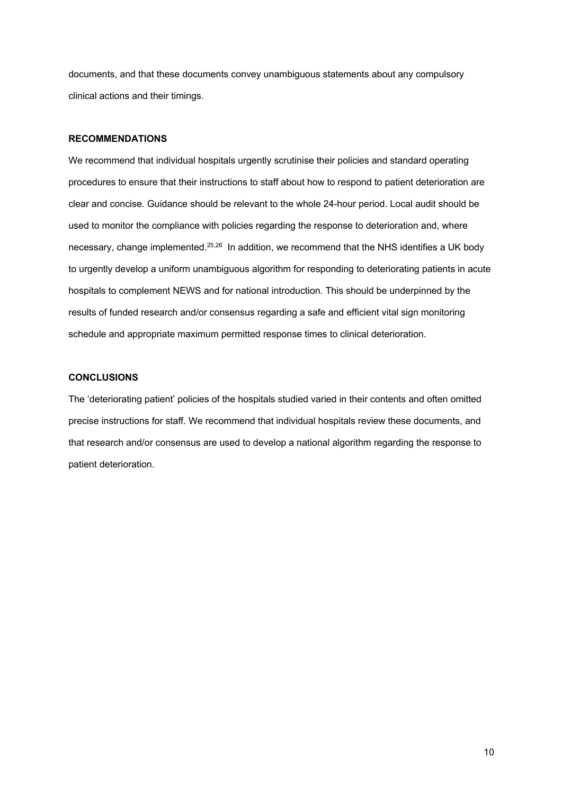documents, and that these documents convey unambiguous statements about any compulsory clinical actions and their timings.

#### **RECOMMENDATIONS**

We recommend that individual hospitals urgently scrutinise their policies and standard operating procedures to ensure that their instructions to staff about how to respond to patient deterioration are clear and concise. Guidance should be relevant to the whole 24-hour period. Local audit should be used to monitor the compliance with policies regarding the response to deterioration and, where necessary, change implemented.<sup>25,26</sup> In addition, we recommend that the NHS identifies a UK body to urgently develop a uniform unambiguous algorithm for responding to deteriorating patients in acute hospitals to complement NEWS and for national introduction. This should be underpinned by the results of funded research and/or consensus regarding a safe and efficient vital sign monitoring schedule and appropriate maximum permitted response times to clinical deterioration.

### **CONCLUSIONS**

The 'deteriorating patient' policies of the hospitals studied varied in their contents and often omitted precise instructions for staff. We recommend that individual hospitals review these documents, and that research and/or consensus are used to develop a national algorithm regarding the response to patient deterioration.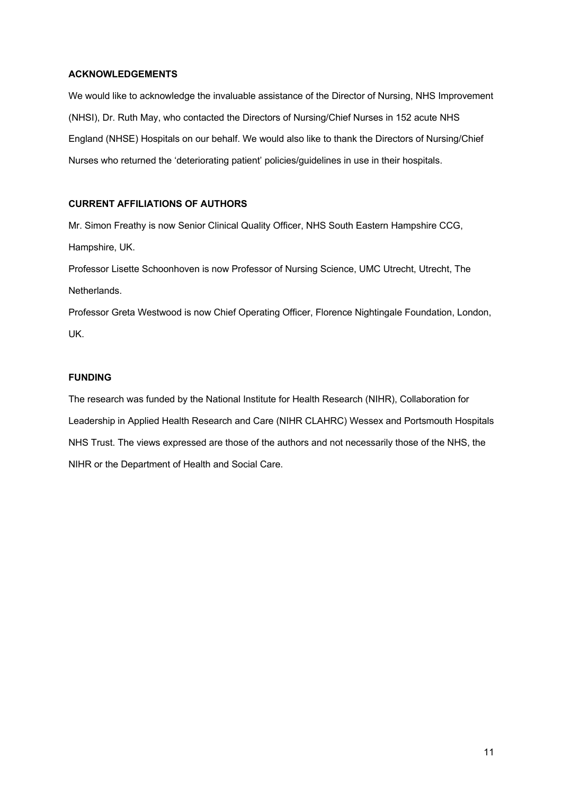### **ACKNOWLEDGEMENTS**

We would like to acknowledge the invaluable assistance of the Director of Nursing, NHS Improvement (NHSI), Dr. Ruth May, who contacted the Directors of Nursing/Chief Nurses in 152 acute NHS England (NHSE) Hospitals on our behalf. We would also like to thank the Directors of Nursing/Chief Nurses who returned the 'deteriorating patient' policies/guidelines in use in their hospitals.

# **CURRENT AFFILIATIONS OF AUTHORS**

Mr. Simon Freathy is now Senior Clinical Quality Officer, NHS South Eastern Hampshire CCG, Hampshire, UK.

Professor Lisette Schoonhoven is now Professor of Nursing Science, UMC Utrecht, Utrecht, The Netherlands.

Professor Greta Westwood is now Chief Operating Officer, Florence Nightingale Foundation, London, UK.

### **FUNDING**

The research was funded by the National Institute for Health Research (NIHR), Collaboration for Leadership in Applied Health Research and Care (NIHR CLAHRC) Wessex and Portsmouth Hospitals NHS Trust. The views expressed are those of the authors and not necessarily those of the NHS, the NIHR or the Department of Health and Social Care.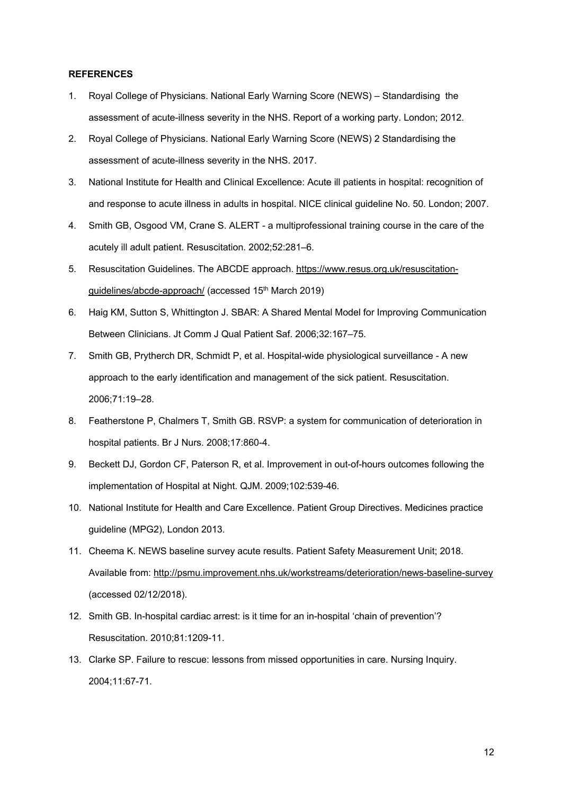#### **REFERENCES**

- 1. Royal College of Physicians. National Early Warning Score (NEWS) Standardising the assessment of acute-illness severity in the NHS. Report of a working party. London; 2012.
- 2. Royal College of Physicians. National Early Warning Score (NEWS) 2 Standardising the assessment of acute-illness severity in the NHS. 2017.
- 3. National Institute for Health and Clinical Excellence: Acute ill patients in hospital: recognition of and response to acute illness in adults in hospital. NICE clinical guideline No. 50. London; 2007.
- 4. Smith GB, Osgood VM, Crane S. ALERT a multiprofessional training course in the care of the acutely ill adult patient. Resuscitation. 2002;52:281–6.
- 5. Resuscitation Guidelines. The ABCDE approach. https://www.resus.org.uk/resuscitationguidelines/abcde-approach/ (accessed 15<sup>th</sup> March 2019)
- 6. Haig KM, Sutton S, Whittington J. SBAR: A Shared Mental Model for Improving Communication Between Clinicians. Jt Comm J Qual Patient Saf. 2006;32:167–75.
- 7. Smith GB, Prytherch DR, Schmidt P, et al. Hospital-wide physiological surveillance A new approach to the early identification and management of the sick patient. Resuscitation. 2006;71:19–28.
- 8. Featherstone P, Chalmers T, Smith GB. RSVP: a system for communication of deterioration in hospital patients. Br J Nurs. 2008;17:860-4.
- 9. Beckett DJ, Gordon CF, Paterson R, et al. Improvement in out-of-hours outcomes following the implementation of Hospital at Night. QJM. 2009;102:539-46.
- 10. National Institute for Health and Care Excellence. Patient Group Directives. Medicines practice guideline (MPG2), London 2013.
- 11. Cheema K. NEWS baseline survey acute results. Patient Safety Measurement Unit; 2018. Available from: http://psmu.improvement.nhs.uk/workstreams/deterioration/news-baseline-survey (accessed 02/12/2018).
- 12. Smith GB. In-hospital cardiac arrest: is it time for an in-hospital 'chain of prevention'? Resuscitation. 2010;81:1209-11.
- 13. Clarke SP. Failure to rescue: lessons from missed opportunities in care. Nursing Inquiry. 2004;11:67-71.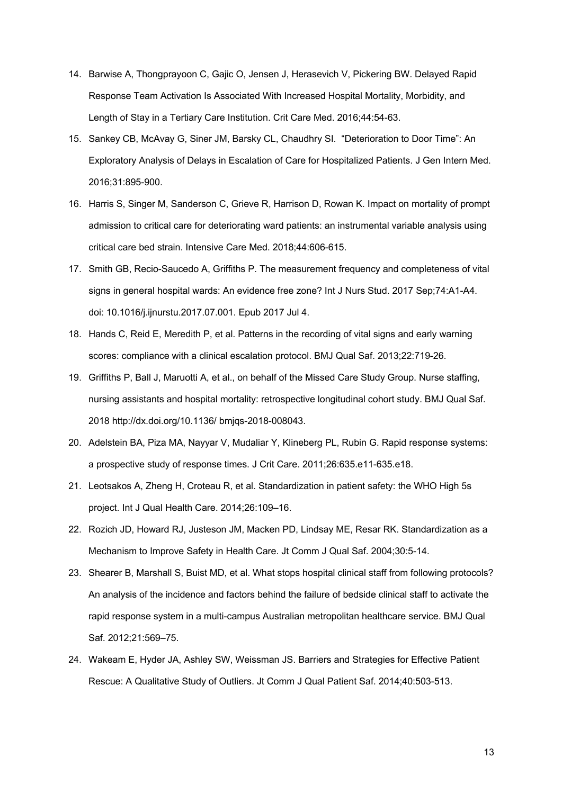- 14. Barwise A, Thongprayoon C, Gajic O, Jensen J, Herasevich V, Pickering BW. Delayed Rapid Response Team Activation Is Associated With Increased Hospital Mortality, Morbidity, and Length of Stay in a Tertiary Care Institution. Crit Care Med. 2016;44:54-63.
- 15. Sankey CB, McAvay G, Siner JM, Barsky CL, Chaudhry SI. "Deterioration to Door Time": An Exploratory Analysis of Delays in Escalation of Care for Hospitalized Patients. J Gen Intern Med. 2016;31:895-900.
- 16. Harris S, Singer M, Sanderson C, Grieve R, Harrison D, Rowan K. Impact on mortality of prompt admission to critical care for deteriorating ward patients: an instrumental variable analysis using critical care bed strain. Intensive Care Med. 2018;44:606-615.
- 17. Smith GB, Recio-Saucedo A, Griffiths P. The measurement frequency and completeness of vital signs in general hospital wards: An evidence free zone? Int J Nurs Stud. 2017 Sep;74:A1-A4. doi: 10.1016/j.ijnurstu.2017.07.001. Epub 2017 Jul 4.
- 18. Hands C, Reid E, Meredith P, et al. Patterns in the recording of vital signs and early warning scores: compliance with a clinical escalation protocol. BMJ Qual Saf. 2013;22:719-26.
- 19. Griffiths P, Ball J, Maruotti A, et al., on behalf of the Missed Care Study Group. Nurse staffing, nursing assistants and hospital mortality: retrospective longitudinal cohort study. BMJ Qual Saf. 2018 http://dx.doi.org/10.1136/ bmjqs-2018-008043.
- 20. Adelstein BA, Piza MA, Nayyar V, Mudaliar Y, Klineberg PL, Rubin G. Rapid response systems: a prospective study of response times. J Crit Care. 2011;26:635.e11-635.e18.
- 21. Leotsakos A, Zheng H, Croteau R, et al. Standardization in patient safety: the WHO High 5s project. Int J Qual Health Care. 2014;26:109–16.
- 22. Rozich JD, Howard RJ, Justeson JM, Macken PD, Lindsay ME, Resar RK. Standardization as a Mechanism to Improve Safety in Health Care. Jt Comm J Qual Saf. 2004;30:5-14.
- 23. Shearer B, Marshall S, Buist MD, et al. What stops hospital clinical staff from following protocols? An analysis of the incidence and factors behind the failure of bedside clinical staff to activate the rapid response system in a multi-campus Australian metropolitan healthcare service. BMJ Qual Saf. 2012;21:569–75.
- 24. Wakeam E, Hyder JA, Ashley SW, Weissman JS. Barriers and Strategies for Effective Patient Rescue: A Qualitative Study of Outliers. Jt Comm J Qual Patient Saf. 2014;40:503-513.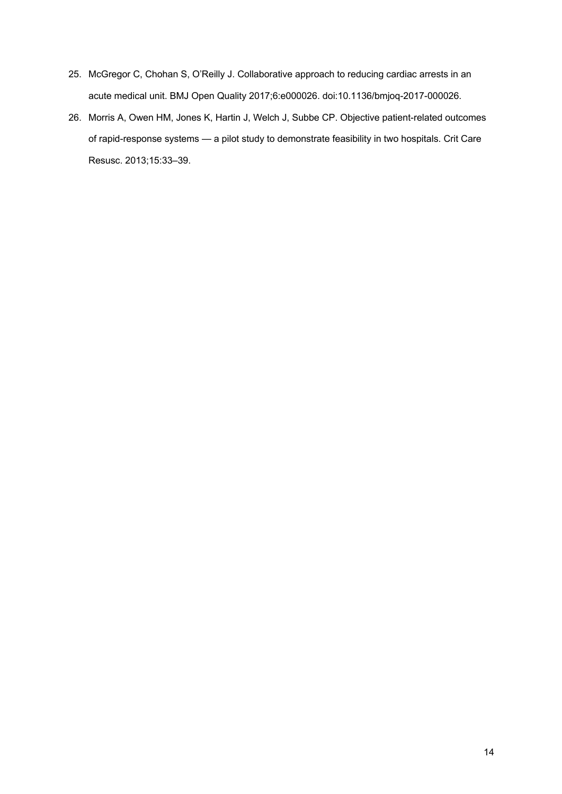- 25. McGregor C, Chohan S, O'Reilly J. Collaborative approach to reducing cardiac arrests in an acute medical unit. BMJ Open Quality 2017;6:e000026. doi:10.1136/bmjoq-2017-000026.
- 26. Morris A, Owen HM, Jones K, Hartin J, Welch J, Subbe CP. Objective patient-related outcomes of rapid-response systems — a pilot study to demonstrate feasibility in two hospitals. Crit Care Resusc. 2013;15:33–39.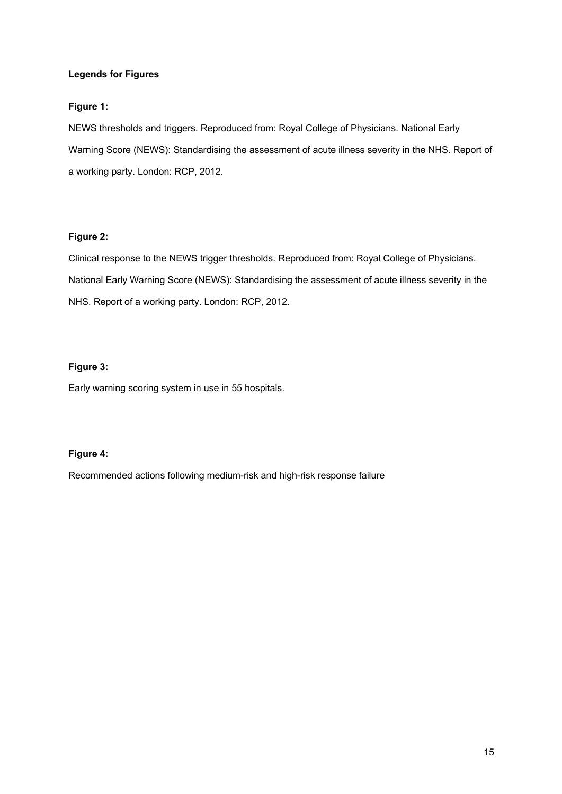### **Legends for Figures**

# **Figure 1:**

NEWS thresholds and triggers. Reproduced from: Royal College of Physicians. National Early Warning Score (NEWS): Standardising the assessment of acute illness severity in the NHS. Report of a working party. London: RCP, 2012.

### **Figure 2:**

Clinical response to the NEWS trigger thresholds. Reproduced from: Royal College of Physicians. National Early Warning Score (NEWS): Standardising the assessment of acute illness severity in the NHS. Report of a working party. London: RCP, 2012.

# **Figure 3:**

Early warning scoring system in use in 55 hospitals.

# **Figure 4:**

Recommended actions following medium-risk and high-risk response failure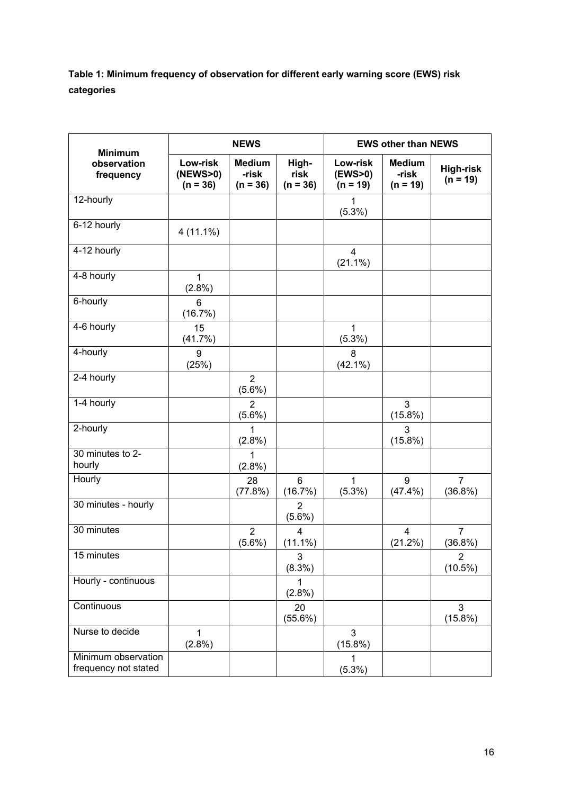**Table 1: Minimum frequency of observation for different early warning score (EWS) risk categories**

| <b>Minimum</b>                              | <b>NEWS</b>                        |                                      |                              | <b>EWS other than NEWS</b>        |                                      |                                |
|---------------------------------------------|------------------------------------|--------------------------------------|------------------------------|-----------------------------------|--------------------------------------|--------------------------------|
| observation<br>frequency                    | Low-risk<br>(NEWS>0)<br>$(n = 36)$ | <b>Medium</b><br>-risk<br>$(n = 36)$ | High-<br>risk<br>$(n = 36)$  | Low-risk<br>(EWS>0)<br>$(n = 19)$ | <b>Medium</b><br>-risk<br>$(n = 19)$ | <b>High-risk</b><br>$(n = 19)$ |
| 12-hourly                                   |                                    |                                      |                              | $\mathbf{1}$<br>$(5.3\%)$         |                                      |                                |
| 6-12 hourly                                 | 4 (11.1%)                          |                                      |                              |                                   |                                      |                                |
| 4-12 hourly                                 |                                    |                                      |                              | $\overline{4}$<br>$(21.1\%)$      |                                      |                                |
| 4-8 hourly                                  | $\mathbf 1$<br>$(2.8\%)$           |                                      |                              |                                   |                                      |                                |
| 6-hourly                                    | 6<br>(16.7%)                       |                                      |                              |                                   |                                      |                                |
| 4-6 hourly                                  | 15<br>(41.7%)                      |                                      |                              | $\mathbf{1}$<br>$(5.3\%)$         |                                      |                                |
| 4-hourly                                    | 9<br>(25%)                         |                                      |                              | 8<br>$(42.1\%)$                   |                                      |                                |
| 2-4 hourly                                  |                                    | 2<br>$(5.6\%)$                       |                              |                                   |                                      |                                |
| 1-4 hourly                                  |                                    | $\overline{2}$<br>$(5.6\%)$          |                              |                                   | 3<br>$(15.8\%)$                      |                                |
| 2-hourly                                    |                                    | 1<br>$(2.8\%)$                       |                              |                                   | 3<br>$(15.8\%)$                      |                                |
| 30 minutes to 2-<br>hourly                  |                                    | 1<br>$(2.8\%)$                       |                              |                                   |                                      |                                |
| Hourly                                      |                                    | 28<br>(77.8%)                        | 6<br>(16.7%)                 | $\mathbf{1}$<br>$(5.3\%)$         | 9<br>$(47.4\%)$                      | 7<br>$(36.8\%)$                |
| 30 minutes - hourly                         |                                    |                                      | $\overline{2}$<br>$(5.6\%)$  |                                   |                                      |                                |
| 30 minutes                                  |                                    | $\overline{2}$<br>$(5.6\%)$          | $\overline{4}$<br>$(11.1\%)$ |                                   | 4<br>$(21.2\%)$                      | $\overline{7}$<br>(36.8%)      |
| 15 minutes                                  |                                    |                                      | 3<br>$(8.3\%)$               |                                   |                                      | $\overline{2}$<br>$(10.5\%)$   |
| Hourly - continuous                         |                                    |                                      | 1<br>$(2.8\%)$               |                                   |                                      |                                |
| Continuous                                  |                                    |                                      | 20<br>$(55.6\%)$             |                                   |                                      | 3<br>$(15.8\%)$                |
| Nurse to decide                             | 1<br>(2.8%)                        |                                      |                              | 3<br>$(15.8\%)$                   |                                      |                                |
| Minimum observation<br>frequency not stated |                                    |                                      |                              | 1<br>(5.3%)                       |                                      |                                |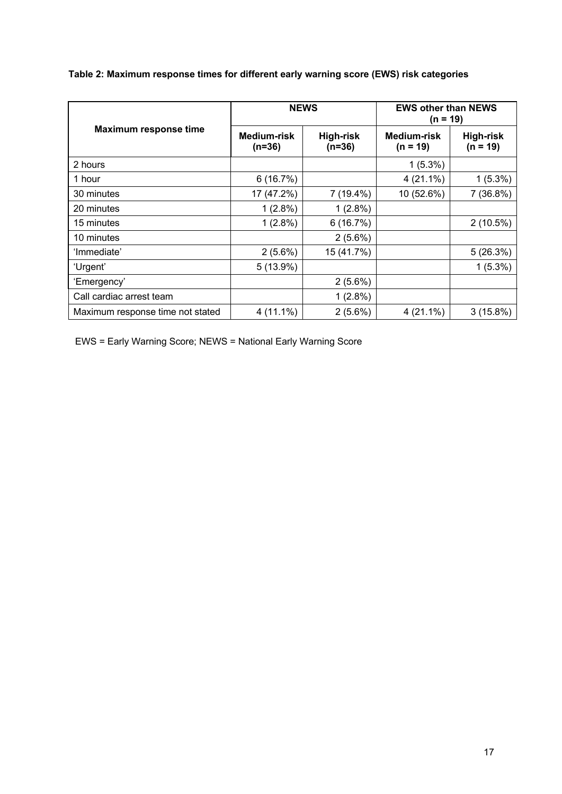| Table 2: Maximum response times for different early warning score (EWS) risk categories |  |  |  |
|-----------------------------------------------------------------------------------------|--|--|--|
|                                                                                         |  |  |  |

|                                  | <b>NEWS</b>             |                              | <b>EWS other than NEWS</b><br>(n = 19) |                                |
|----------------------------------|-------------------------|------------------------------|----------------------------------------|--------------------------------|
| <b>Maximum response time</b>     | Medium-risk<br>$(n=36)$ | <b>High-risk</b><br>$(n=36)$ | Medium-risk<br>$(n = 19)$              | <b>High-risk</b><br>$(n = 19)$ |
| 2 hours                          |                         |                              | $1(5.3\%)$                             |                                |
| 1 hour                           | 6(16.7%)                |                              | $4(21.1\%)$                            | $1(5.3\%)$                     |
| 30 minutes                       | 17 (47.2%)              | 7 (19.4%)                    | 10 (52.6%)                             | 7(36.8%)                       |
| 20 minutes                       | $1(2.8\%)$              | 1(2.8%)                      |                                        |                                |
| 15 minutes                       | $1(2.8\%)$              | 6(16.7%)                     |                                        | $2(10.5\%)$                    |
| 10 minutes                       |                         | $2(5.6\%)$                   |                                        |                                |
| 'Immediate'                      | $2(5.6\%)$              | 15 (41.7%)                   |                                        | 5(26.3%)                       |
| 'Urgent'                         | $5(13.9\%)$             |                              |                                        | $1(5.3\%)$                     |
| 'Emergency'                      |                         | $2(5.6\%)$                   |                                        |                                |
| Call cardiac arrest team         |                         | 1(2.8%)                      |                                        |                                |
| Maximum response time not stated | $4(11.1\%)$             | $2(5.6\%)$                   | $4(21.1\%)$                            | $3(15.8\%)$                    |

EWS = Early Warning Score; NEWS = National Early Warning Score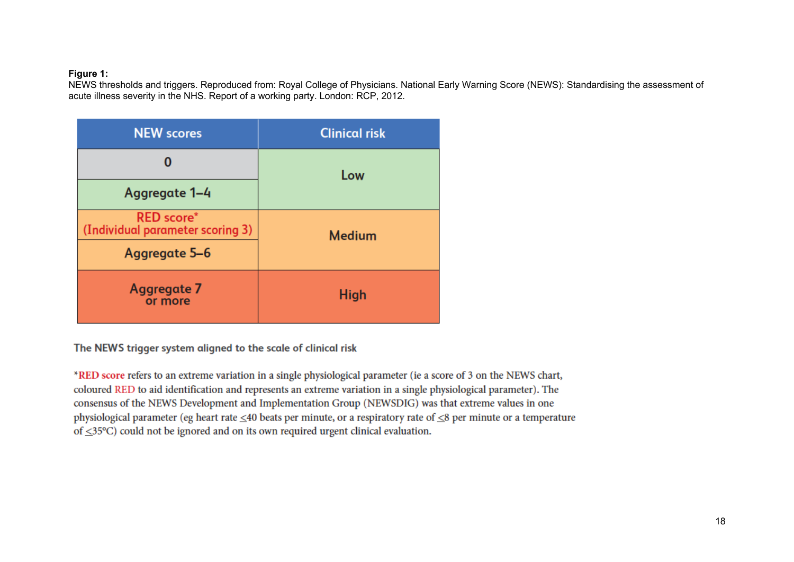### **Figure 1:**

NEWS thresholds and triggers. Reproduced from: Royal College of Physicians. National Early Warning Score (NEWS): Standardising the assessment of acute illness severity in the NHS. Report of a working party. London: RCP, 2012.

| <b>NEW scores</b>                                     | <b>Clinical risk</b> |  |
|-------------------------------------------------------|----------------------|--|
|                                                       | Low                  |  |
| Aggregate 1-4                                         |                      |  |
| <b>RED</b> score*<br>(Individual parameter scoring 3) | <b>Medium</b>        |  |
| Aggregate 5-6                                         |                      |  |
| Aggregate 7<br>or more                                | <b>High</b>          |  |

The NEWS trigger system aligned to the scale of clinical risk

\*RED score refers to an extreme variation in a single physiological parameter (ie a score of 3 on the NEWS chart, coloured RED to aid identification and represents an extreme variation in a single physiological parameter). The consensus of the NEWS Development and Implementation Group (NEWSDIG) was that extreme values in one physiological parameter (eg heart rate  $\leq$ 40 beats per minute, or a respiratory rate of  $\leq$ 8 per minute or a temperature of  $\leq$ 35°C) could not be ignored and on its own required urgent clinical evaluation.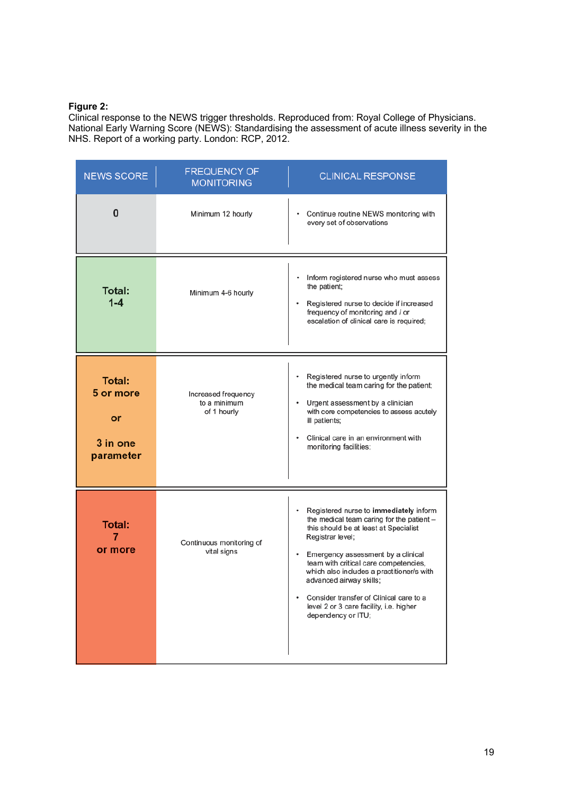# **Figure 2:**

Clinical response to the NEWS trigger thresholds. Reproduced from: Royal College of Physicians. National Early Warning Score (NEWS): Standardising the assessment of acute illness severity in the NHS. Report of a working party. London: RCP, 2012.

| <b>NEWS SCORE</b>                                         | <b>FREQUENCY OF</b><br><b>MONITORING</b>           | <b>CLINICAL RESPONSE</b>                                                                                                                                                                                                                                                                                                                                                                                                           |
|-----------------------------------------------------------|----------------------------------------------------|------------------------------------------------------------------------------------------------------------------------------------------------------------------------------------------------------------------------------------------------------------------------------------------------------------------------------------------------------------------------------------------------------------------------------------|
| 0                                                         | Minimum 12 hourly                                  | Continue routine NEWS monitoring with<br>every set of observations                                                                                                                                                                                                                                                                                                                                                                 |
| <b>Total:</b><br>$1 - 4$                                  | Minimum 4-6 hourly                                 | Inform registered nurse who must assess<br>٠<br>the patient;<br>Registered nurse to decide if increased<br>$\bullet$<br>frequency of monitoring and / or<br>escalation of clinical care is required;                                                                                                                                                                                                                               |
| <b>Total:</b><br>5 or more<br>or<br>3 in one<br>parameter | Increased frequency<br>to a minimum<br>of 1 hourly | Registered nurse to urgently inform<br>٠<br>the medical team caring for the patient;<br>Urgent assessment by a clinician<br>٠<br>with core competencies to assess acutely<br>ill patients;<br>Clinical care in an environment with<br>monitoring facilities;                                                                                                                                                                       |
| <b>Total:</b><br>7<br>or more                             | Continuous monitoring of<br>vital signs            | Registered nurse to immediately inform<br>٠<br>the medical team caring for the patient -<br>this should be at least at Specialist<br>Registrar level;<br>Emergency assessment by a clinical<br>٠<br>team with critical care competencies,<br>which also includes a practitioner/s with<br>advanced airway skills:<br>Consider transfer of Clinical care to a<br>٠<br>level 2 or 3 care facility, i.e. higher<br>dependency or ITU; |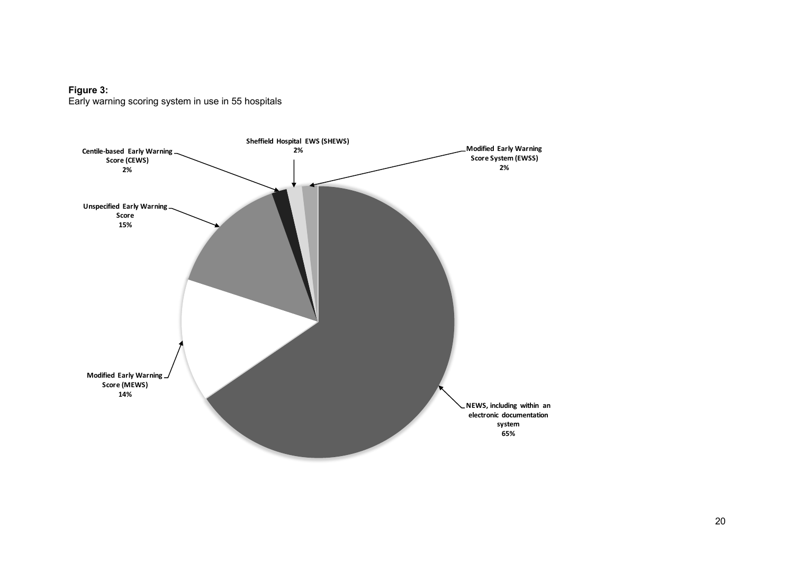